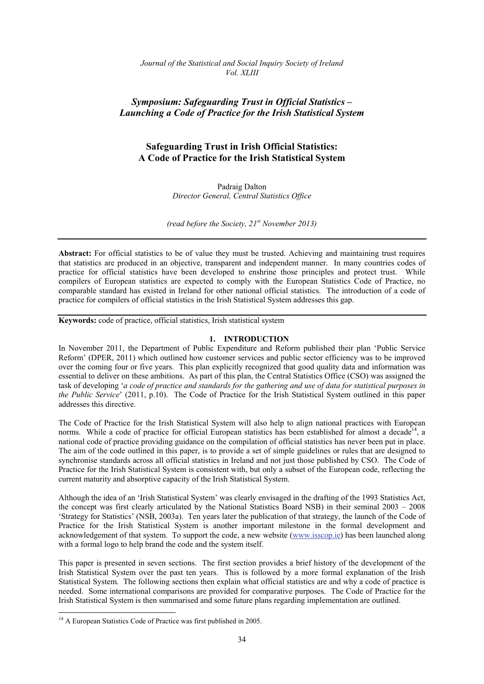*Journal of the Statistical and Social Inquiry Society of Ireland Vol. XLIII*

# *Symposium: Safeguarding Trust in Official Statistics – Launching a Code of Practice for the Irish Statistical System*

# **Safeguarding Trust in Irish Official Statistics: A Code of Practice for the Irish Statistical System**

Padraig Dalton *Director General, Central Statistics Office* 

*(read before the Society, 21st November 2013)* 

**Abstract:** For official statistics to be of value they must be trusted. Achieving and maintaining trust requires that statistics are produced in an objective, transparent and independent manner. In many countries codes of practice for official statistics have been developed to enshrine those principles and protect trust. While compilers of European statistics are expected to comply with the European Statistics Code of Practice, no comparable standard has existed in Ireland for other national official statistics. The introduction of a code of practice for compilers of official statistics in the Irish Statistical System addresses this gap.

**Keywords:** code of practice, official statistics, Irish statistical system

### **1. INTRODUCTION**

In November 2011, the Department of Public Expenditure and Reform published their plan 'Public Service Reform' (DPER, 2011) which outlined how customer services and public sector efficiency was to be improved over the coming four or five years. This plan explicitly recognized that good quality data and information was essential to deliver on these ambitions. As part of this plan, the Central Statistics Office (CSO) was assigned the task of developing '*a code of practice and standards for the gathering and use of data for statistical purposes in the Public Service*' (2011, p.10). The Code of Practice for the Irish Statistical System outlined in this paper addresses this directive.

The Code of Practice for the Irish Statistical System will also help to align national practices with European norms. While a code of practice for official European statistics has been established for almost a decade<sup>14</sup>, a national code of practice providing guidance on the compilation of official statistics has never been put in place. The aim of the code outlined in this paper, is to provide a set of simple guidelines or rules that are designed to synchronise standards across all official statistics in Ireland and not just those published by CSO. The Code of Practice for the Irish Statistical System is consistent with, but only a subset of the European code, reflecting the current maturity and absorptive capacity of the Irish Statistical System.

Although the idea of an 'Irish Statistical System' was clearly envisaged in the drafting of the 1993 Statistics Act, the concept was first clearly articulated by the National Statistics Board NSB) in their seminal 2003 – 2008 'Strategy for Statistics' (NSB, 2003a). Ten years later the publication of that strategy, the launch of the Code of Practice for the Irish Statistical System is another important milestone in the formal development and acknowledgement of that system. To support the code, a new website (www.isscop.ie) has been launched along with a formal logo to help brand the code and the system itself.

This paper is presented in seven sections. The first section provides a brief history of the development of the Irish Statistical System over the past ten years. This is followed by a more formal explanation of the Irish Statistical System. The following sections then explain what official statistics are and why a code of practice is needed. Some international comparisons are provided for comparative purposes. The Code of Practice for the Irish Statistical System is then summarised and some future plans regarding implementation are outlined.

1

<sup>&</sup>lt;sup>14</sup> A European Statistics Code of Practice was first published in 2005.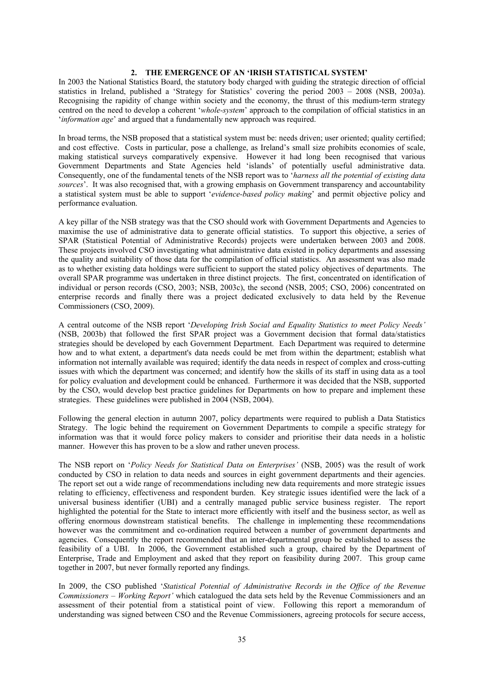### **2. THE EMERGENCE OF AN 'IRISH STATISTICAL SYSTEM'**

In 2003 the National Statistics Board, the statutory body charged with guiding the strategic direction of official statistics in Ireland, published a 'Strategy for Statistics' covering the period 2003 – 2008 (NSB, 2003a). Recognising the rapidity of change within society and the economy, the thrust of this medium-term strategy centred on the need to develop a coherent '*whole-system*' approach to the compilation of official statistics in an '*information age*' and argued that a fundamentally new approach was required.

In broad terms, the NSB proposed that a statistical system must be: needs driven; user oriented; quality certified; and cost effective. Costs in particular, pose a challenge, as Ireland's small size prohibits economies of scale, making statistical surveys comparatively expensive. However it had long been recognised that various Government Departments and State Agencies held 'islands' of potentially useful administrative data. Consequently, one of the fundamental tenets of the NSB report was to '*harness all the potential of existing data sources*'. It was also recognised that, with a growing emphasis on Government transparency and accountability a statistical system must be able to support '*evidence-based policy making*' and permit objective policy and performance evaluation.

A key pillar of the NSB strategy was that the CSO should work with Government Departments and Agencies to maximise the use of administrative data to generate official statistics. To support this objective, a series of SPAR (Statistical Potential of Administrative Records) projects were undertaken between 2003 and 2008. These projects involved CSO investigating what administrative data existed in policy departments and assessing the quality and suitability of those data for the compilation of official statistics. An assessment was also made as to whether existing data holdings were sufficient to support the stated policy objectives of departments. The overall SPAR programme was undertaken in three distinct projects. The first, concentrated on identification of individual or person records (CSO, 2003; NSB, 2003c), the second (NSB, 2005; CSO, 2006) concentrated on enterprise records and finally there was a project dedicated exclusively to data held by the Revenue Commissioners (CSO, 2009).

A central outcome of the NSB report '*Developing Irish Social and Equality Statistics to meet Policy Needs'* (NSB, 2003b) that followed the first SPAR project was a Government decision that formal data/statistics strategies should be developed by each Government Department. Each Department was required to determine how and to what extent, a department's data needs could be met from within the department; establish what information not internally available was required; identify the data needs in respect of complex and cross-cutting issues with which the department was concerned; and identify how the skills of its staff in using data as a tool for policy evaluation and development could be enhanced. Furthermore it was decided that the NSB, supported by the CSO, would develop best practice guidelines for Departments on how to prepare and implement these strategies. These guidelines were published in 2004 (NSB, 2004).

Following the general election in autumn 2007, policy departments were required to publish a Data Statistics Strategy. The logic behind the requirement on Government Departments to compile a specific strategy for information was that it would force policy makers to consider and prioritise their data needs in a holistic manner. However this has proven to be a slow and rather uneven process.

The NSB report on '*Policy Needs for Statistical Data on Enterprises'* (NSB, 2005) was the result of work conducted by CSO in relation to data needs and sources in eight government departments and their agencies. The report set out a wide range of recommendations including new data requirements and more strategic issues relating to efficiency, effectiveness and respondent burden. Key strategic issues identified were the lack of a universal business identifier (UBI) and a centrally managed public service business register. The report highlighted the potential for the State to interact more efficiently with itself and the business sector, as well as offering enormous downstream statistical benefits. The challenge in implementing these recommendations however was the commitment and co-ordination required between a number of government departments and agencies. Consequently the report recommended that an inter-departmental group be established to assess the feasibility of a UBI. In 2006, the Government established such a group, chaired by the Department of Enterprise, Trade and Employment and asked that they report on feasibility during 2007. This group came together in 2007, but never formally reported any findings.

In 2009, the CSO published '*Statistical Potential of Administrative Records in the Office of the Revenue Commissioners – Working Report'* which catalogued the data sets held by the Revenue Commissioners and an assessment of their potential from a statistical point of view. Following this report a memorandum of understanding was signed between CSO and the Revenue Commissioners, agreeing protocols for secure access,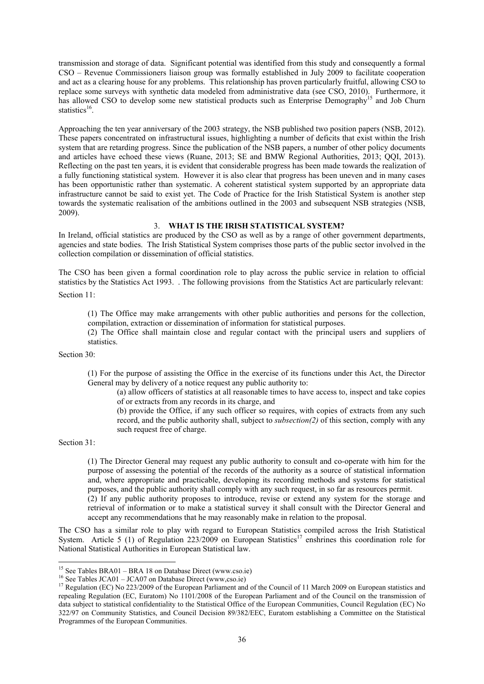transmission and storage of data. Significant potential was identified from this study and consequently a formal CSO – Revenue Commissioners liaison group was formally established in July 2009 to facilitate cooperation and act as a clearing house for any problems. This relationship has proven particularly fruitful, allowing CSO to replace some surveys with synthetic data modeled from administrative data (see CSO, 2010). Furthermore, it has allowed CSO to develop some new statistical products such as Enterprise Demography<sup>15</sup> and Job Churn statistics $^{16}$ .

Approaching the ten year anniversary of the 2003 strategy, the NSB published two position papers (NSB, 2012). These papers concentrated on infrastructural issues, highlighting a number of deficits that exist within the Irish system that are retarding progress. Since the publication of the NSB papers, a number of other policy documents and articles have echoed these views (Ruane, 2013; SE and BMW Regional Authorities, 2013; QQI, 2013). Reflecting on the past ten years, it is evident that considerable progress has been made towards the realization of a fully functioning statistical system. However it is also clear that progress has been uneven and in many cases has been opportunistic rather than systematic. A coherent statistical system supported by an appropriate data infrastructure cannot be said to exist yet. The Code of Practice for the Irish Statistical System is another step towards the systematic realisation of the ambitions outlined in the 2003 and subsequent NSB strategies (NSB, 2009).

## 3. **WHAT IS THE IRISH STATISTICAL SYSTEM?**

In Ireland, official statistics are produced by the CSO as well as by a range of other government departments, agencies and state bodies. The Irish Statistical System comprises those parts of the public sector involved in the collection compilation or dissemination of official statistics.

The CSO has been given a formal coordination role to play across the public service in relation to official statistics by the Statistics Act 1993. . The following provisions from the Statistics Act are particularly relevant:

Section 11:

(1) The Office may make arrangements with other public authorities and persons for the collection, compilation, extraction or dissemination of information for statistical purposes.

(2) The Office shall maintain close and regular contact with the principal users and suppliers of statistics.

Section 30:

(1) For the purpose of assisting the Office in the exercise of its functions under this Act, the Director General may by delivery of a notice request any public authority to:

(a) allow officers of statistics at all reasonable times to have access to, inspect and take copies of or extracts from any records in its charge, and

(b) provide the Office, if any such officer so requires, with copies of extracts from any such record, and the public authority shall, subject to *subsection(2)* of this section, comply with any such request free of charge.

Section 31:

(1) The Director General may request any public authority to consult and co-operate with him for the purpose of assessing the potential of the records of the authority as a source of statistical information and, where appropriate and practicable, developing its recording methods and systems for statistical purposes, and the public authority shall comply with any such request, in so far as resources permit.

(2) If any public authority proposes to introduce, revise or extend any system for the storage and retrieval of information or to make a statistical survey it shall consult with the Director General and accept any recommendations that he may reasonably make in relation to the proposal.

The CSO has a similar role to play with regard to European Statistics compiled across the Irish Statistical System. Article 5 (1) of Regulation 223/2009 on European Statistics<sup>17</sup> enshrines this coordination role for National Statistical Authorities in European Statistical law.

 $15$  See Tables BRA01 – BRA 18 on Database Direct (www.cso.ie)

<sup>&</sup>lt;sup>16</sup> See Tables JCA01 – JCA07 on Database Direct (www.cso.ie)<br><sup>17</sup> Regulation (EC) No 223/2009 of the European Parliament and of the Council of 11 March 2009 on European statistics and repealing Regulation (EC, Euratom) No 1101/2008 of the European Parliament and of the Council on the transmission of data subject to statistical confidentiality to the Statistical Office of the European Communities, Council Regulation (EC) No 322/97 on Community Statistics, and Council Decision 89/382/EEC, Euratom establishing a Committee on the Statistical Programmes of the European Communities.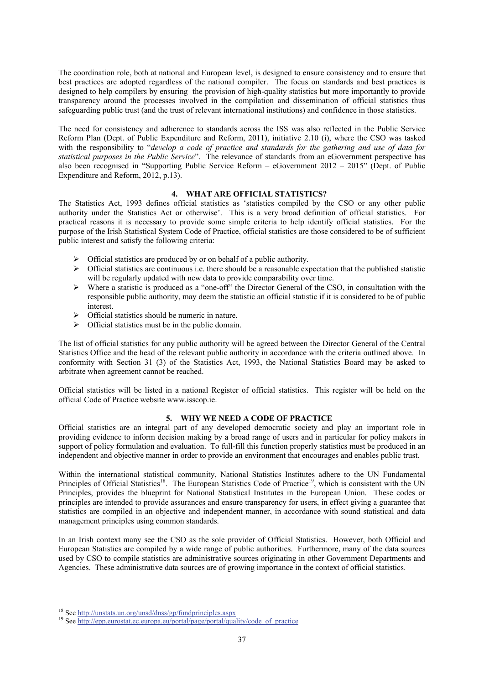The coordination role, both at national and European level, is designed to ensure consistency and to ensure that best practices are adopted regardless of the national compiler. The focus on standards and best practices is designed to help compilers by ensuring the provision of high-quality statistics but more importantly to provide transparency around the processes involved in the compilation and dissemination of official statistics thus safeguarding public trust (and the trust of relevant international institutions) and confidence in those statistics.

The need for consistency and adherence to standards across the ISS was also reflected in the Public Service Reform Plan (Dept. of Public Expenditure and Reform, 2011), initiative 2.10 (i), where the CSO was tasked with the responsibility to "*develop a code of practice and standards for the gathering and use of data for statistical purposes in the Public Service*". The relevance of standards from an eGovernment perspective has also been recognised in "Supporting Public Service Reform – eGovernment 2012 – 2015" (Dept. of Public Expenditure and Reform, 2012, p.13).

## **4. WHAT ARE OFFICIAL STATISTICS?**

The Statistics Act, 1993 defines official statistics as 'statistics compiled by the CSO or any other public authority under the Statistics Act or otherwise'. This is a very broad definition of official statistics. For practical reasons it is necessary to provide some simple criteria to help identify official statistics. For the purpose of the Irish Statistical System Code of Practice, official statistics are those considered to be of sufficient public interest and satisfy the following criteria:

- $\triangleright$  Official statistics are produced by or on behalf of a public authority.
- $\triangleright$  Official statistics are continuous i.e. there should be a reasonable expectation that the published statistic will be regularly updated with new data to provide comparability over time.
- $\triangleright$  Where a statistic is produced as a "one-off" the Director General of the CSO, in consultation with the responsible public authority, may deem the statistic an official statistic if it is considered to be of public interest.
- $\triangleright$  Official statistics should be numeric in nature.
- $\triangleright$  Official statistics must be in the public domain.

The list of official statistics for any public authority will be agreed between the Director General of the Central Statistics Office and the head of the relevant public authority in accordance with the criteria outlined above. In conformity with Section 31 (3) of the Statistics Act, 1993, the National Statistics Board may be asked to arbitrate when agreement cannot be reached.

Official statistics will be listed in a national Register of official statistics. This register will be held on the official Code of Practice website www.isscop.ie.

# **5. WHY WE NEED A CODE OF PRACTICE**

Official statistics are an integral part of any developed democratic society and play an important role in providing evidence to inform decision making by a broad range of users and in particular for policy makers in support of policy formulation and evaluation. To full-fill this function properly statistics must be produced in an independent and objective manner in order to provide an environment that encourages and enables public trust.

Within the international statistical community, National Statistics Institutes adhere to the UN Fundamental Principles of Official Statistics<sup>18</sup>. The European Statistics Code of Practice<sup>19</sup>, which is consistent with the UN Principles, provides the blueprint for National Statistical Institutes in the European Union. These codes or principles are intended to provide assurances and ensure transparency for users, in effect giving a guarantee that statistics are compiled in an objective and independent manner, in accordance with sound statistical and data management principles using common standards.

In an Irish context many see the CSO as the sole provider of Official Statistics. However, both Official and European Statistics are compiled by a wide range of public authorities. Furthermore, many of the data sources used by CSO to compile statistics are administrative sources originating in other Government Departments and Agencies. These administrative data sources are of growing importance in the context of official statistics.

<sup>&</sup>lt;sup>18</sup> See http://unstats.un.org/unsd/dnss/gp/fundprinciples.aspx

<sup>&</sup>lt;sup>19</sup> See http://epp.eurostat.ec.europa.eu/portal/page/portal/quality/code\_of\_practice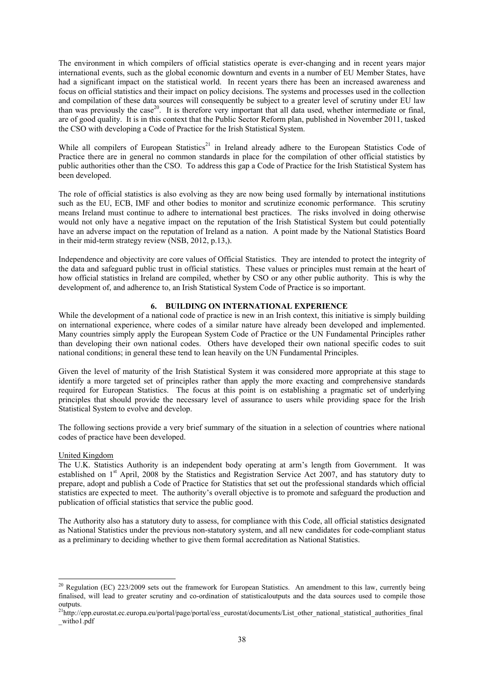The environment in which compilers of official statistics operate is ever-changing and in recent years major international events, such as the global economic downturn and events in a number of EU Member States, have had a significant impact on the statistical world. In recent years there has been an increased awareness and focus on official statistics and their impact on policy decisions. The systems and processes used in the collection and compilation of these data sources will consequently be subject to a greater level of scrutiny under EU law than was previously the case<sup>20</sup>. It is therefore very important that all data used, whether intermediate or final, are of good quality. It is in this context that the Public Sector Reform plan, published in November 2011, tasked the CSO with developing a Code of Practice for the Irish Statistical System.

While all compilers of European Statistics<sup>21</sup> in Ireland already adhere to the European Statistics Code of Practice there are in general no common standards in place for the compilation of other official statistics by public authorities other than the CSO. To address this gap a Code of Practice for the Irish Statistical System has been developed.

The role of official statistics is also evolving as they are now being used formally by international institutions such as the EU, ECB. IMF and other bodies to monitor and scrutinize economic performance. This scrutiny means Ireland must continue to adhere to international best practices. The risks involved in doing otherwise would not only have a negative impact on the reputation of the Irish Statistical System but could potentially have an adverse impact on the reputation of Ireland as a nation. A point made by the National Statistics Board in their mid-term strategy review (NSB, 2012, p.13,).

Independence and objectivity are core values of Official Statistics. They are intended to protect the integrity of the data and safeguard public trust in official statistics. These values or principles must remain at the heart of how official statistics in Ireland are compiled, whether by CSO or any other public authority. This is why the development of, and adherence to, an Irish Statistical System Code of Practice is so important.

# **6. BUILDING ON INTERNATIONAL EXPERIENCE**

While the development of a national code of practice is new in an Irish context, this initiative is simply building on international experience, where codes of a similar nature have already been developed and implemented. Many countries simply apply the European System Code of Practice or the UN Fundamental Principles rather than developing their own national codes. Others have developed their own national specific codes to suit national conditions; in general these tend to lean heavily on the UN Fundamental Principles.

Given the level of maturity of the Irish Statistical System it was considered more appropriate at this stage to identify a more targeted set of principles rather than apply the more exacting and comprehensive standards required for European Statistics. The focus at this point is on establishing a pragmatic set of underlying principles that should provide the necessary level of assurance to users while providing space for the Irish Statistical System to evolve and develop.

The following sections provide a very brief summary of the situation in a selection of countries where national codes of practice have been developed.

#### United Kingdom

1

The U.K. Statistics Authority is an independent body operating at arm's length from Government. It was established on 1<sup>st</sup> April, 2008 by the Statistics and Registration Service Act 2007, and has statutory duty to prepare, adopt and publish a Code of Practice for Statistics that set out the professional standards which official statistics are expected to meet. The authority's overall objective is to promote and safeguard the production and publication of official statistics that service the public good.

The Authority also has a statutory duty to assess, for compliance with this Code, all official statistics designated as National Statistics under the previous non-statutory system, and all new candidates for code-compliant status as a preliminary to deciding whether to give them formal accreditation as National Statistics.

 $20$  Regulation (EC) 223/2009 sets out the framework for European Statistics. An amendment to this law, currently being finalised, will lead to greater scrutiny and co-ordination of statisticaloutputs and the data sources used to compile those outputs.

<sup>&</sup>lt;sup>21</sup>http://epp.eurostat.ec.europa.eu/portal/page/portal/ess\_eurostat/documents/List\_other\_national\_statistical\_authorities\_final \_witho1.pdf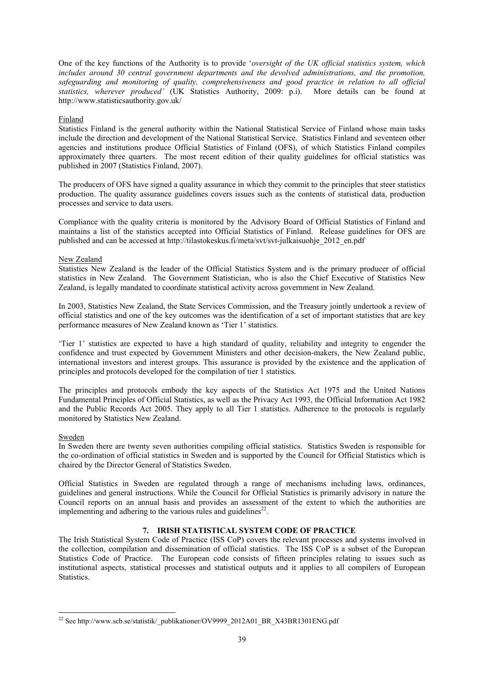One of the key functions of the Authority is to provide '*oversight of the UK official statistics system, which includes around 30 central government departments and the devolved administrations, and the promotion, safeguarding and monitoring of quality, comprehensiveness and good practice in relation to all official statistics, wherever produced'* (UK Statistics Authority, 2009: p.i). More details can be found at http://www.statisticsauthority.gov.uk/

## Finland

Statistics Finland is the general authority within the National Statistical Service of Finland whose main tasks include the direction and development of the National Statistical Service. Statistics Finland and seventeen other agencies and institutions produce Official Statistics of Finland (OFS), of which Statistics Finland compiles approximately three quarters. The most recent edition of their quality guidelines for official statistics was published in 2007 (Statistics Finland, 2007).

The producers of OFS have signed a quality assurance in which they commit to the principles that steer statistics production. The quality assurance guidelines covers issues such as the contents of statistical data, production processes and service to data users.

Compliance with the quality criteria is monitored by the Advisory Board of Official Statistics of Finland and maintains a list of the statistics accepted into Official Statistics of Finland. Release guidelines for OFS are published and can be accessed at http://tilastokeskus.fi/meta/svt/svt-julkaisuohje\_2012\_en.pdf

### New Zealand

Statistics New Zealand is the leader of the Official Statistics System and is the primary producer of official statistics in New Zealand. The Government Statistician, who is also the Chief Executive of Statistics New Zealand, is legally mandated to coordinate statistical activity across government in New Zealand.

In 2003, Statistics New Zealand, the State Services Commission, and the Treasury jointly undertook a review of official statistics and one of the key outcomes was the identification of a set of important statistics that are key performance measures of New Zealand known as 'Tier 1' statistics.

'Tier 1' statistics are expected to have a high standard of quality, reliability and integrity to engender the confidence and trust expected by Government Ministers and other decision-makers, the New Zealand public, international investors and interest groups. This assurance is provided by the existence and the application of principles and protocols developed for the compilation of tier 1 statistics.

The principles and protocols embody the key aspects of the Statistics Act 1975 and the United Nations Fundamental Principles of Official Statistics, as well as the Privacy Act 1993, the Official Information Act 1982 and the Public Records Act 2005. They apply to all Tier 1 statistics. Adherence to the protocols is regularly monitored by Statistics New Zealand.

#### **Sweden**

1

In Sweden there are twenty seven authorities compiling official statistics. Statistics Sweden is responsible for the co-ordination of official statistics in Sweden and is supported by the Council for Official Statistics which is chaired by the Director General of Statistics Sweden.

Official Statistics in Sweden are regulated through a range of mechanisms including laws, ordinances, guidelines and general instructions. While the Council for Official Statistics is primarily advisory in nature the Council reports on an annual basis and provides an assessment of the extent to which the authorities are implementing and adhering to the various rules and guidelines<sup>22</sup>.

# **7. IRISH STATISTICAL SYSTEM CODE OF PRACTICE**

The Irish Statistical System Code of Practice (ISS CoP) covers the relevant processes and systems involved in the collection, compilation and dissemination of official statistics. The ISS CoP is a subset of the European Statistics Code of Practice. The European code consists of fifteen principles relating to issues such as institutional aspects, statistical processes and statistical outputs and it applies to all compilers of European Statistics.

<sup>&</sup>lt;sup>22</sup> See http://www.scb.se/statistik/\_publikationer/OV9999\_2012A01\_BR\_X43BR1301ENG.pdf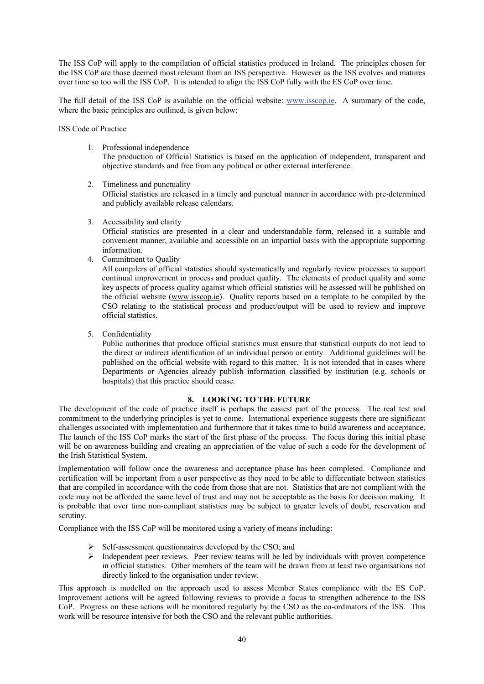The ISS CoP will apply to the compilation of official statistics produced in Ireland. The principles chosen for the ISS CoP are those deemed most relevant from an ISS perspective. However as the ISS evolves and matures over time so too will the ISS CoP. It is intended to align the ISS CoP fully with the ES CoP over time.

The full detail of the ISS CoP is available on the official website: www.isscop.ie. A summary of the code, where the basic principles are outlined, is given below:

ISS Code of Practice

1. Professional independence

The production of Official Statistics is based on the application of independent, transparent and objective standards and free from any political or other external interference.

2. Timeliness and punctuality

Official statistics are released in a timely and punctual manner in accordance with pre-determined and publicly available release calendars.

3. Accessibility and clarity

Official statistics are presented in a clear and understandable form, released in a suitable and convenient manner, available and accessible on an impartial basis with the appropriate supporting information.

4. Commitment to Quality

All compilers of official statistics should systematically and regularly review processes to support continual improvement in process and product quality. The elements of product quality and some key aspects of process quality against which official statistics will be assessed will be published on the official website (www.isscop.ie). Quality reports based on a template to be compiled by the CSO relating to the statistical process and product/output will be used to review and improve official statistics.

5. Confidentiality

Public authorities that produce official statistics must ensure that statistical outputs do not lead to the direct or indirect identification of an individual person or entity. Additional guidelines will be published on the official website with regard to this matter. It is not intended that in cases where Departments or Agencies already publish information classified by institution (e.g. schools or hospitals) that this practice should cease.

## **8. LOOKING TO THE FUTURE**

The development of the code of practice itself is perhaps the easiest part of the process. The real test and commitment to the underlying principles is yet to come. International experience suggests there are significant challenges associated with implementation and furthermore that it takes time to build awareness and acceptance. The launch of the ISS CoP marks the start of the first phase of the process. The focus during this initial phase will be on awareness building and creating an appreciation of the value of such a code for the development of the Irish Statistical System.

Implementation will follow once the awareness and acceptance phase has been completed. Compliance and certification will be important from a user perspective as they need to be able to differentiate between statistics that are compiled in accordance with the code from those that are not. Statistics that are not compliant with the code may not be afforded the same level of trust and may not be acceptable as the basis for decision making. It is probable that over time non-compliant statistics may be subject to greater levels of doubt, reservation and scrutiny.

Compliance with the ISS CoP will be monitored using a variety of means including:

- Self-assessment questionnaires developed by the CSO; and
- $\triangleright$  Independent peer reviews. Peer review teams will be led by individuals with proven competence in official statistics. Other members of the team will be drawn from at least two organisations not directly linked to the organisation under review.

This approach is modelled on the approach used to assess Member States compliance with the ES CoP. Improvement actions will be agreed following reviews to provide a focus to strengthen adherence to the ISS CoP. Progress on these actions will be monitored regularly by the CSO as the co-ordinators of the ISS. This work will be resource intensive for both the CSO and the relevant public authorities.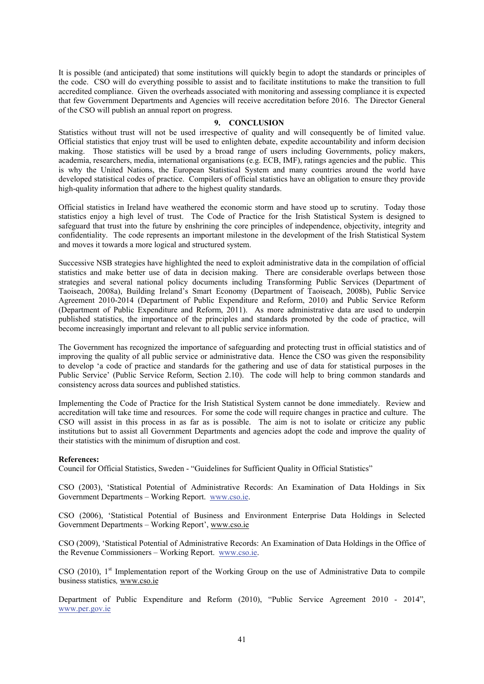It is possible (and anticipated) that some institutions will quickly begin to adopt the standards or principles of the code. CSO will do everything possible to assist and to facilitate institutions to make the transition to full accredited compliance. Given the overheads associated with monitoring and assessing compliance it is expected that few Government Departments and Agencies will receive accreditation before 2016. The Director General of the CSO will publish an annual report on progress.

### **9. CONCLUSION**

Statistics without trust will not be used irrespective of quality and will consequently be of limited value. Official statistics that enjoy trust will be used to enlighten debate, expedite accountability and inform decision making. Those statistics will be used by a broad range of users including Governments, policy makers, academia, researchers, media, international organisations (e.g. ECB, IMF), ratings agencies and the public. This is why the United Nations, the European Statistical System and many countries around the world have developed statistical codes of practice. Compilers of official statistics have an obligation to ensure they provide high-quality information that adhere to the highest quality standards.

Official statistics in Ireland have weathered the economic storm and have stood up to scrutiny. Today those statistics enjoy a high level of trust. The Code of Practice for the Irish Statistical System is designed to safeguard that trust into the future by enshrining the core principles of independence, objectivity, integrity and confidentiality. The code represents an important milestone in the development of the Irish Statistical System and moves it towards a more logical and structured system.

Successive NSB strategies have highlighted the need to exploit administrative data in the compilation of official statistics and make better use of data in decision making. There are considerable overlaps between those strategies and several national policy documents including Transforming Public Services (Department of Taoiseach, 2008a), Building Ireland's Smart Economy (Department of Taoiseach, 2008b), Public Service Agreement 2010-2014 (Department of Public Expenditure and Reform, 2010) and Public Service Reform (Department of Public Expenditure and Reform, 2011). As more administrative data are used to underpin published statistics, the importance of the principles and standards promoted by the code of practice, will become increasingly important and relevant to all public service information.

The Government has recognized the importance of safeguarding and protecting trust in official statistics and of improving the quality of all public service or administrative data. Hence the CSO was given the responsibility to develop 'a code of practice and standards for the gathering and use of data for statistical purposes in the Public Service' (Public Service Reform, Section 2.10). The code will help to bring common standards and consistency across data sources and published statistics.

Implementing the Code of Practice for the Irish Statistical System cannot be done immediately. Review and accreditation will take time and resources. For some the code will require changes in practice and culture. The CSO will assist in this process in as far as is possible. The aim is not to isolate or criticize any public institutions but to assist all Government Departments and agencies adopt the code and improve the quality of their statistics with the minimum of disruption and cost.

#### **References:**

Council for Official Statistics, Sweden - "Guidelines for Sufficient Quality in Official Statistics"

CSO (2003), 'Statistical Potential of Administrative Records: An Examination of Data Holdings in Six Government Departments – Working Report. www.cso.ie.

CSO (2006), 'Statistical Potential of Business and Environment Enterprise Data Holdings in Selected Government Departments – Working Report', www.cso.ie

CSO (2009), 'Statistical Potential of Administrative Records: An Examination of Data Holdings in the Office of the Revenue Commissioners – Working Report. www.cso.ie.

CSO (2010),  $1<sup>st</sup>$  Implementation report of the Working Group on the use of Administrative Data to compile business statistics*,* www.cso.ie

Department of Public Expenditure and Reform (2010), "Public Service Agreement 2010 - 2014", www.per.gov.ie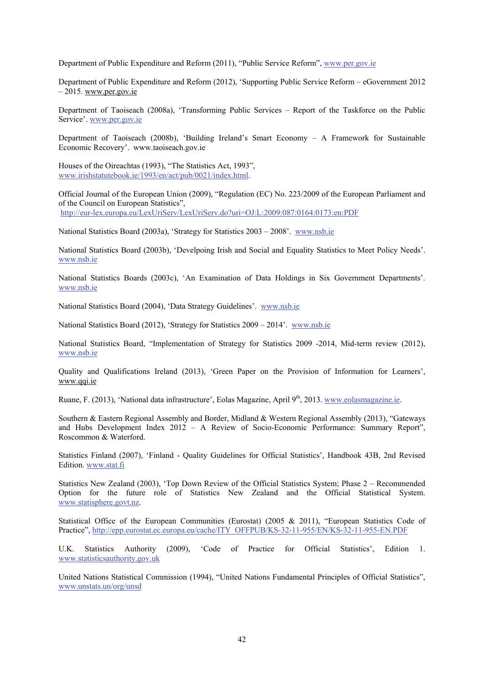Department of Public Expenditure and Reform (2011), "Public Service Reform", www.per.gov.ie

Department of Public Expenditure and Reform (2012), 'Supporting Public Service Reform – eGovernment 2012  $-2015$ . www.per.gov.ie

Department of Taoiseach (2008a), 'Transforming Public Services – Report of the Taskforce on the Public Service'. www.per.gov.ie

Department of Taoiseach (2008b), 'Building Ireland's Smart Economy – A Framework for Sustainable Economic Recovery'. www.taoiseach.gov.ie

Houses of the Oireachtas (1993), "The Statistics Act, 1993", www.irishstatutebook.ie/1993/en/act/pub/0021/index.html.

Official Journal of the European Union (2009), "Regulation (EC) No. 223/2009 of the European Parliament and of the Council on European Statistics", http://eur-lex.europa.eu/LexUriServ/LexUriServ.do?uri=OJ:L:2009:087:0164:0173:en:PDF

National Statistics Board (2003a), 'Strategy for Statistics 2003 – 2008'. www.nsb.ie

National Statistics Board (2003b), 'Develpoing Irish and Social and Equality Statistics to Meet Policy Needs'. www.nsb.ie

National Statistics Boards (2003c), 'An Examination of Data Holdings in Six Government Departments'. www.nsb.ie

National Statistics Board (2004), 'Data Strategy Guidelines'. www.nsb.ie

National Statistics Board (2012), 'Strategy for Statistics 2009 – 2014'. www.nsb.ie

National Statistics Board, "Implementation of Strategy for Statistics 2009 -2014, Mid-term review (2012), www.nsb.ie

Quality and Qualifications Ireland (2013), 'Green Paper on the Provision of Information for Learners', www.qqi.ie

Ruane, F. (2013), 'National data infrastructure', Eolas Magazine, April 9<sup>th</sup>, 2013. www.eolasmagazine.ie.

Southern & Eastern Regional Assembly and Border, Midland & Western Regional Assembly (2013), "Gateways and Hubs Development Index 2012 – A Review of Socio-Economic Performance: Summary Report", Roscommon & Waterford.

Statistics Finland (2007), 'Finland - Quality Guidelines for Official Statistics', Handbook 43B, 2nd Revised Edition. www.stat.fi

Statistics New Zealand (2003), 'Top Down Review of the Official Statistics System; Phase 2 – Recommended Option for the future role of Statistics New Zealand and the Official Statistical System. www.statisphere.govt.nz.

Statistical Office of the European Communities (Eurostat) (2005 & 2011), "European Statistics Code of Practice", http://epp.eurostat.ec.europa.eu/cache/ITY\_OFFPUB/KS-32-11-955/EN/KS-32-11-955-EN.PDF

U.K. Statistics Authority (2009), 'Code of Practice for Official Statistics', Edition 1. www.statisticsauthority.gov.uk

United Nations Statistical Commission (1994), "United Nations Fundamental Principles of Official Statistics", www.unstats.un/org/unsd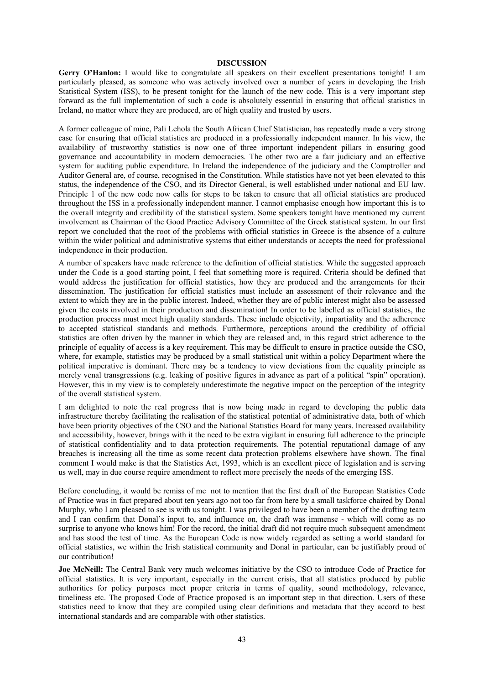#### **DISCUSSION**

**Gerry O'Hanlon:** I would like to congratulate all speakers on their excellent presentations tonight! I am particularly pleased, as someone who was actively involved over a number of years in developing the Irish Statistical System (ISS), to be present tonight for the launch of the new code. This is a very important step forward as the full implementation of such a code is absolutely essential in ensuring that official statistics in Ireland, no matter where they are produced, are of high quality and trusted by users.

A former colleague of mine, Pali Lehola the South African Chief Statistician, has repeatedly made a very strong case for ensuring that official statistics are produced in a professionally independent manner. In his view, the availability of trustworthy statistics is now one of three important independent pillars in ensuring good governance and accountability in modern democracies. The other two are a fair judiciary and an effective system for auditing public expenditure. In Ireland the independence of the judiciary and the Comptroller and Auditor General are, of course, recognised in the Constitution. While statistics have not yet been elevated to this status, the independence of the CSO, and its Director General, is well established under national and EU law. Principle 1 of the new code now calls for steps to be taken to ensure that all official statistics are produced throughout the ISS in a professionally independent manner. I cannot emphasise enough how important this is to the overall integrity and credibility of the statistical system. Some speakers tonight have mentioned my current involvement as Chairman of the Good Practice Advisory Committee of the Greek statistical system. In our first report we concluded that the root of the problems with official statistics in Greece is the absence of a culture within the wider political and administrative systems that either understands or accepts the need for professional independence in their production.

A number of speakers have made reference to the definition of official statistics. While the suggested approach under the Code is a good starting point, I feel that something more is required. Criteria should be defined that would address the justification for official statistics, how they are produced and the arrangements for their dissemination. The justification for official statistics must include an assessment of their relevance and the extent to which they are in the public interest. Indeed, whether they are of public interest might also be assessed given the costs involved in their production and dissemination! In order to be labelled as official statistics, the production process must meet high quality standards. These include objectivity, impartiality and the adherence to accepted statistical standards and methods. Furthermore, perceptions around the credibility of official statistics are often driven by the manner in which they are released and, in this regard strict adherence to the principle of equality of access is a key requirement. This may be difficult to ensure in practice outside the CSO, where, for example, statistics may be produced by a small statistical unit within a policy Department where the political imperative is dominant. There may be a tendency to view deviations from the equality principle as merely venal transgressions (e.g. leaking of positive figures in advance as part of a political "spin" operation). However, this in my view is to completely underestimate the negative impact on the perception of the integrity of the overall statistical system.

I am delighted to note the real progress that is now being made in regard to developing the public data infrastructure thereby facilitating the realisation of the statistical potential of administrative data, both of which have been priority objectives of the CSO and the National Statistics Board for many years. Increased availability and accessibility, however, brings with it the need to be extra vigilant in ensuring full adherence to the principle of statistical confidentiality and to data protection requirements. The potential reputational damage of any breaches is increasing all the time as some recent data protection problems elsewhere have shown. The final comment I would make is that the Statistics Act, 1993, which is an excellent piece of legislation and is serving us well, may in due course require amendment to reflect more precisely the needs of the emerging ISS.

Before concluding, it would be remiss of me not to mention that the first draft of the European Statistics Code of Practice was in fact prepared about ten years ago not too far from here by a small taskforce chaired by Donal Murphy, who I am pleased to see is with us tonight. I was privileged to have been a member of the drafting team and I can confirm that Donal's input to, and influence on, the draft was immense - which will come as no surprise to anyone who knows him! For the record, the initial draft did not require much subsequent amendment and has stood the test of time. As the European Code is now widely regarded as setting a world standard for official statistics, we within the Irish statistical community and Donal in particular, can be justifiably proud of our contribution!

**Joe McNeill:** The Central Bank very much welcomes initiative by the CSO to introduce Code of Practice for official statistics. It is very important, especially in the current crisis, that all statistics produced by public authorities for policy purposes meet proper criteria in terms of quality, sound methodology, relevance, timeliness etc. The proposed Code of Practice proposed is an important step in that direction. Users of these statistics need to know that they are compiled using clear definitions and metadata that they accord to best international standards and are comparable with other statistics.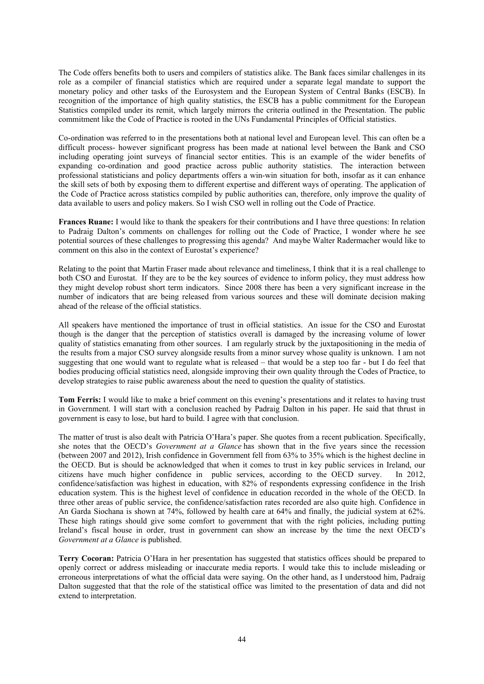The Code offers benefits both to users and compilers of statistics alike. The Bank faces similar challenges in its role as a compiler of financial statistics which are required under a separate legal mandate to support the monetary policy and other tasks of the Eurosystem and the European System of Central Banks (ESCB). In recognition of the importance of high quality statistics, the ESCB has a public commitment for the European Statistics compiled under its remit, which largely mirrors the criteria outlined in the Presentation. The public commitment like the Code of Practice is rooted in the UNs Fundamental Principles of Official statistics.

Co-ordination was referred to in the presentations both at national level and European level. This can often be a difficult process- however significant progress has been made at national level between the Bank and CSO including operating joint surveys of financial sector entities. This is an example of the wider benefits of expanding co-ordination and good practice across public authority statistics. The interaction between professional statisticians and policy departments offers a win-win situation for both, insofar as it can enhance the skill sets of both by exposing them to different expertise and different ways of operating. The application of the Code of Practice across statistics compiled by public authorities can, therefore, only improve the quality of data available to users and policy makers. So I wish CSO well in rolling out the Code of Practice.

**Frances Ruane:** I would like to thank the speakers for their contributions and I have three questions: In relation to Padraig Dalton's comments on challenges for rolling out the Code of Practice, I wonder where he see potential sources of these challenges to progressing this agenda? And maybe Walter Radermacher would like to comment on this also in the context of Eurostat's experience?

Relating to the point that Martin Fraser made about relevance and timeliness, I think that it is a real challenge to both CSO and Eurostat. If they are to be the key sources of evidence to inform policy, they must address how they might develop robust short term indicators. Since 2008 there has been a very significant increase in the number of indicators that are being released from various sources and these will dominate decision making ahead of the release of the official statistics.

All speakers have mentioned the importance of trust in official statistics. An issue for the CSO and Eurostat though is the danger that the perception of statistics overall is damaged by the increasing volume of lower quality of statistics emanating from other sources. I am regularly struck by the juxtapositioning in the media of the results from a major CSO survey alongside results from a minor survey whose quality is unknown. I am not suggesting that one would want to regulate what is released – that would be a step too far - but I do feel that bodies producing official statistics need, alongside improving their own quality through the Codes of Practice, to develop strategies to raise public awareness about the need to question the quality of statistics.

**Tom Ferris:** I would like to make a brief comment on this evening's presentations and it relates to having trust in Government. I will start with a conclusion reached by Padraig Dalton in his paper. He said that thrust in government is easy to lose, but hard to build. I agree with that conclusion.

The matter of trust is also dealt with Patricia O'Hara's paper. She quotes from a recent publication. Specifically, she notes that the OECD's *Government at a Glance* has shown that in the five years since the recession (between 2007 and 2012), Irish confidence in Government fell from 63% to 35% which is the highest decline in the OECD. But is should be acknowledged that when it comes to trust in key public services in Ireland, our citizens have much higher confidence in public services, according to the OECD survey. In 2012, confidence/satisfaction was highest in education, with 82% of respondents expressing confidence in the Irish education system. This is the highest level of confidence in education recorded in the whole of the OECD. In three other areas of public service, the confidence/satisfaction rates recorded are also quite high. Confidence in An Garda Siochana is shown at 74%, followed by health care at 64% and finally, the judicial system at 62%. These high ratings should give some comfort to government that with the right policies, including putting Ireland's fiscal house in order, trust in government can show an increase by the time the next OECD's *Government at a Glance* is published.

**Terry Cocoran:** Patricia O'Hara in her presentation has suggested that statistics offices should be prepared to openly correct or address misleading or inaccurate media reports. I would take this to include misleading or erroneous interpretations of what the official data were saying. On the other hand, as I understood him, Padraig Dalton suggested that that the role of the statistical office was limited to the presentation of data and did not extend to interpretation.